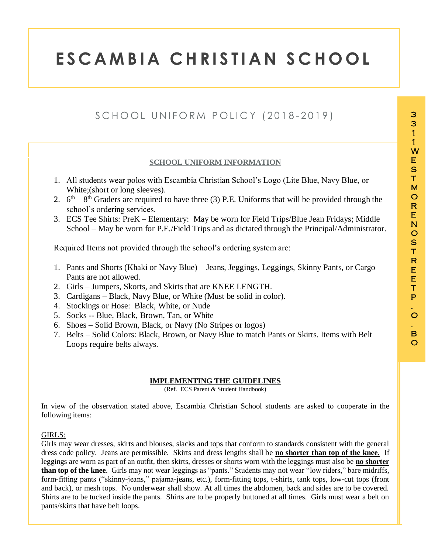1

# **E S C A M B I A C H R I S T I A N S C H O O L**

# SCHOOL UNIFORM POLICY (2018-2019)

# **SCHOOL UNIFORM INFORMATION**

- 1. All students wear polos with Escambia Christian School's Logo (Lite Blue, Navy Blue, or White;(short or long sleeves).
- 2.  $6<sup>th</sup> 8<sup>th</sup>$  Graders are required to have three (3) P.E. Uniforms that will be provided through the school's ordering services.
- 3. ECS Tee Shirts: PreK Elementary: May be worn for Field Trips/Blue Jean Fridays; Middle School – May be worn for P.E./Field Trips and as dictated through the Principal/Administrator.

Required Items not provided through the school's ordering system are:

- 1. Pants and Shorts (Khaki or Navy Blue) Jeans, Jeggings, Leggings, Skinny Pants, or Cargo Pants are not allowed.
- 2. Girls Jumpers, Skorts, and Skirts that are KNEE LENGTH.
- 3. Cardigans Black, Navy Blue, or White (Must be solid in color).
- 4. Stockings or Hose: Black, White, or Nude
- 5. Socks -- Blue, Black, Brown, Tan, or White
- 6. Shoes Solid Brown, Black, or Navy (No Stripes or logos)
- 7. Belts Solid Colors: Black, Brown, or Navy Blue to match Pants or Skirts. Items with Belt Loops require belts always.

### **IMPLEMENTING THE GUIDELINES**

(Ref. ECS Parent & Student Handbook)

In view of the observation stated above, Escambia Christian School students are asked to cooperate in the following items:

#### GIRLS:

Girls may wear dresses, skirts and blouses, slacks and tops that conform to standards consistent with the general dress code policy. Jeans are permissible. Skirts and dress lengths shall be **no shorter than top of the knee.** If leggings are worn as part of an outfit, then skirts, dresses or shorts worn with the leggings must also be **no shorter than top of the knee**. Girls may not wear leggings as "pants." Students may not wear "low riders," bare midriffs, form-fitting pants ("skinny-jeans," pajama-jeans, etc.), form-fitting tops, t-shirts, tank tops, low-cut tops (front and back), or mesh tops. No underwear shall show. At all times the abdomen, back and sides are to be covered. Shirts are to be tucked inside the pants. Shirts are to be properly buttoned at all times. Girls must wear a belt on pants/skirts that have belt loops.